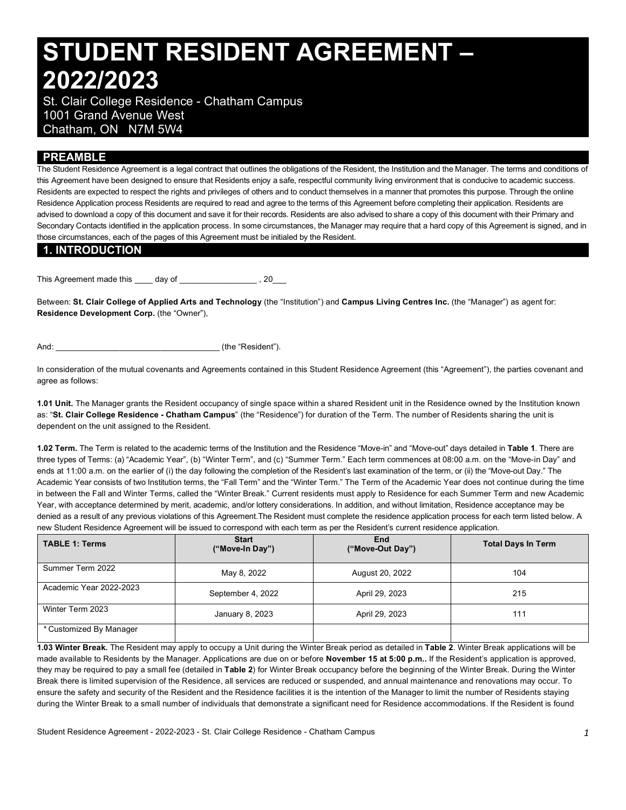# **STUDENT RESIDENT AGREEMENT – 2022/2023**

 St. Clair College Residence - Chatham Campus 1001 Grand Avenue West Chatham, ON N7M 5W4

## **PREAMBLE**

 The Student Residence Agreement is a legal contract that outlines the obligations of the Resident, the Institution and the Manager. The terms and conditions of this Agreement have been designed to ensure that Residents enjoy a safe, respectful community living environment that is conducive to academic success. Residents are expected to respect the rights and privileges of others and to conduct themselves in a manner that promotes this purpose. Through the online Residence Application process Residents are required to read and agree to the terms of this Agreement before completing their application. Residents are advised to download a copy of this document and save it for their records. Residents are also advised to share a copy of this document with their Primary and Secondary Contacts identified in the application process. In some circumstances, the Manager may require that a hard copy of this Agreement is signed, and in those circumstances, each of the pages of this Agreement must be initialed by the Resident.

#### **1. INTRODUCTION**

This Agreement made this \_\_\_\_ day of \_\_\_\_\_\_\_\_\_\_\_\_\_\_\_\_\_\_, 20\_\_\_

 Between: **St. Clair College of Applied Arts and Technology** (the "Institution") and **Campus Living Centres Inc.** (the "Manager") as agent for: **Residence Development Corp.** (the "Owner"),

And: \_\_\_\_\_\_\_\_\_\_\_\_\_\_\_\_\_\_\_\_\_\_\_\_\_\_\_\_\_\_\_\_\_\_\_\_ (the "Resident").

 In consideration of the mutual covenants and Agreements contained in this Student Residence Agreement (this "Agreement"), the parties covenant and agree as follows:

 **1.01 Unit.** The Manager grants the Resident occupancy of single space within a shared Resident unit in the Residence owned by the Institution known  as: "**St. Clair College Residence - Chatham Campus**" (the "Residence") for duration of the Term. The number of Residents sharing the unit is dependent on the unit assigned to the Resident.

 **1.02 Term.** The Term is related to the academic terms of the Institution and the Residence "Move-in" and "Move-out" days detailed in **Table 1**. There are three types of Terms: (a) "Academic Year", (b) "Winter Term", and (c) "Summer Term." Each term commences at 08:00 a.m. on the "Move-in Day" and ends at 11:00 a.m. on the earlier of (i) the day following the completion of the Resident's last examination of the term, or (ii) the "Move-out Day." The Academic Year consists of two Institution terms, the "Fall Term" and the "Winter Term." The Term of the Academic Year does not continue during the time in between the Fall and Winter Terms, called the "Winter Break." Current residents must apply to Residence for each Summer Term and new Academic Year, with acceptance determined by merit, academic, and/or lottery considerations. In addition, and without limitation, Residence acceptance may be denied as a result of any previous violations of this Agreement.The Resident must complete the residence application process for each term listed below. A new Student Residence Agreement will be issued to correspond with each term as per the Resident's current residence application.

| <b>TABLE 1: Terms</b>   | <b>Start</b><br>("Move-In Day") |                 | <b>Total Days In Term</b> |  |
|-------------------------|---------------------------------|-----------------|---------------------------|--|
| Summer Term 2022        | May 8, 2022                     | August 20, 2022 | 104                       |  |
| Academic Year 2022-2023 | September 4, 2022               | April 29, 2023  | 215                       |  |
| Winter Term 2023        | January 8, 2023                 | April 29, 2023  | 111                       |  |
| * Customized By Manager |                                 |                 |                           |  |

 made available to Residents by the Manager. Applications are due on or before **November 15 at 5:00 p.m..** If the Resident's application is approved, they may be required to pay a small fee (detailed in **Table 2**) for Winter Break occupancy before the beginning of the Winter Break. During the Winter Break there is limited supervision of the Residence, all services are reduced or suspended, and annual maintenance and renovations may occur. To ensure the safety and security of the Resident and the Residence facilities it is the intention of the Manager to limit the number of Residents staying during the Winter Break to a small number of individuals that demonstrate a significant need for Residence accommodations. If the Resident is found **1.03 Winter Break.** The Resident may apply to occupy a Unit during the Winter Break period as detailed in **Table 2**. Winter Break applications will be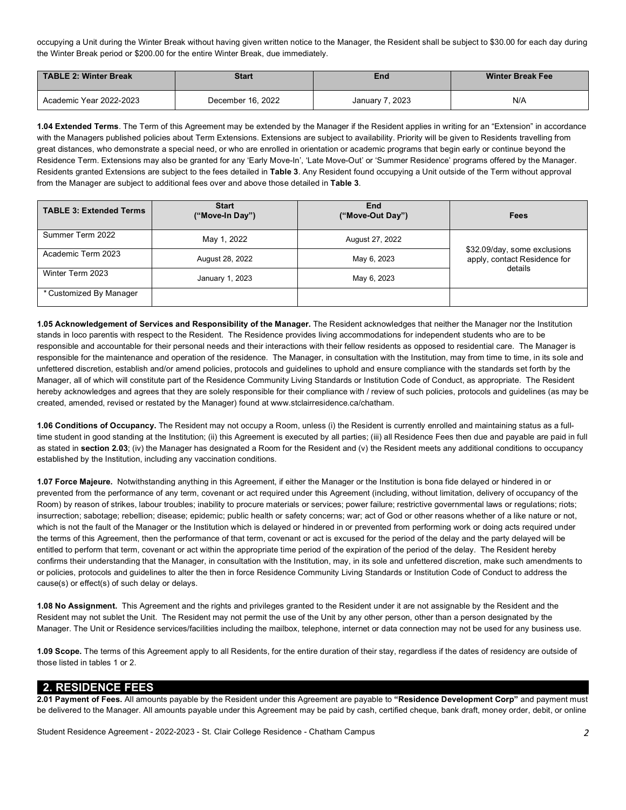occupying a Unit during the Winter Break without having given written notice to the Manager, the Resident shall be subject to \$30.00 for each day during the Winter Break period or \$200.00 for the entire Winter Break, due immediately.

| TABLE 2: Winter Break   | <b>Start</b>      | End             | <b>Winter Break Fee</b> |  |
|-------------------------|-------------------|-----------------|-------------------------|--|
| Academic Year 2022-2023 | December 16, 2022 | January 7, 2023 | N/A                     |  |

 **1.04 Extended Terms**. The Term of this Agreement may be extended by the Manager if the Resident applies in writing for an "Extension" in accordance with the Managers published policies about Term Extensions. Extensions are subject to availability. Priority will be given to Residents travelling from great distances, who demonstrate a special need, or who are enrolled in orientation or academic programs that begin early or continue beyond the Residence Term. Extensions may also be granted for any 'Early Move-In', 'Late Move-Out' or 'Summer Residence' programs offered by the Manager. Residents granted Extensions are subject to the fees detailed in **Table 3**. Any Resident found occupying a Unit outside of the Term without approval from the Manager are subject to additional fees over and above those detailed in **Table 3**.

| <b>TABLE 3: Extended Terms</b> | <b>Start</b><br>("Move-In Day") | End<br>("Move-Out Day") | Fees                                                                    |
|--------------------------------|---------------------------------|-------------------------|-------------------------------------------------------------------------|
| Summer Term 2022               | May 1, 2022                     | August 27, 2022         |                                                                         |
| Academic Term 2023             | August 28, 2022                 | May 6, 2023             | \$32.09/day, some exclusions<br>apply, contact Residence for<br>details |
| Winter Term 2023               | January 1, 2023                 | May 6, 2023             |                                                                         |
| * Customized By Manager        |                                 |                         |                                                                         |

 **1.05 Acknowledgement of Services and Responsibility of the Manager.** The Resident acknowledges that neither the Manager nor the Institution stands in loco parentis with respect to the Resident. The Residence provides living accommodations for independent students who are to be responsible and accountable for their personal needs and their interactions with their fellow residents as opposed to residential care. The Manager is responsible for the maintenance and operation of the residence. The Manager, in consultation with the Institution, may from time to time, in its sole and unfettered discretion, establish and/or amend policies, protocols and guidelines to uphold and ensure compliance with the standards set forth by the Manager, all of which will constitute part of the Residence Community Living Standards or Institution Code of Conduct, as appropriate. The Resident hereby acknowledges and agrees that they are solely responsible for their compliance with / review of such policies, protocols and guidelines (as may be created, amended, revised or restated by the Manager) found at [www.stclairresidence.ca/chatham.](www.stclairresidence.ca/chatham)

 **1.06 Conditions of Occupancy.** The Resident may not occupy a Room, unless (i) the Resident is currently enrolled and maintaining status as a full- time student in good standing at the Institution; (ii) this Agreement is executed by all parties; (iii) all Residence Fees then due and payable are paid in full as stated in **section 2.03**; (iv) the Manager has designated a Room for the Resident and (v) the Resident meets any additional conditions to occupancy established by the Institution, including any vaccination conditions.

 **1.07 Force Majeure.** Notwithstanding anything in this Agreement, if either the Manager or the Institution is bona fide delayed or hindered in or prevented from the performance of any term, covenant or act required under this Agreement (including, without limitation, delivery of occupancy of the Room) by reason of strikes, labour troubles; inability to procure materials or services; power failure; restrictive governmental laws or regulations; riots; insurrection; sabotage; rebellion; disease; epidemic; public health or safety concerns; war; act of God or other reasons whether of a like nature or not, which is not the fault of the Manager or the Institution which is delayed or hindered in or prevented from performing work or doing acts required under the terms of this Agreement, then the performance of that term, covenant or act is excused for the period of the delay and the party delayed will be entitled to perform that term, covenant or act within the appropriate time period of the expiration of the period of the delay. The Resident hereby confirms their understanding that the Manager, in consultation with the Institution, may, in its sole and unfettered discretion, make such amendments to or policies, protocols and guidelines to alter the then in force Residence Community Living Standards or Institution Code of Conduct to address the cause(s) or effect(s) of such delay or delays.

 **1.08 No Assignment.** This Agreement and the rights and privileges granted to the Resident under it are not assignable by the Resident and the Resident may not sublet the Unit. The Resident may not permit the use of the Unit by any other person, other than a person designated by the Manager. The Unit or Residence services/facilities including the mailbox, telephone, internet or data connection may not be used for any business use.

 **1.09 Scope.** The terms of this Agreement apply to all Residents, for the entire duration of their stay, regardless if the dates of residency are outside of those listed in tables 1 or 2.

## **2. RESIDENCE FEES**

 be delivered to the Manager. All amounts payable under this Agreement may be paid by cash, certified cheque, bank draft, money order, debit, or online **2.01 Payment of Fees.** All amounts payable by the Resident under this Agreement are payable to **"Residence Development Corp"** and payment must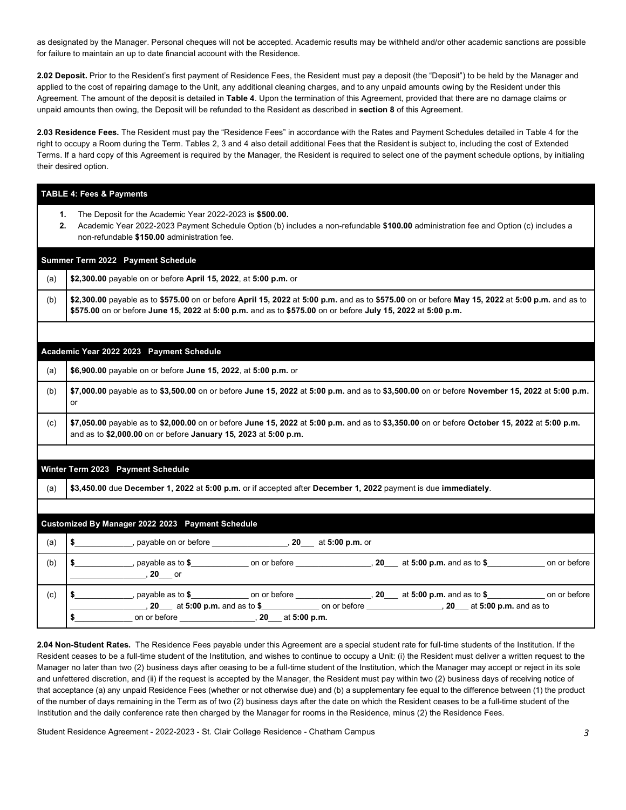as designated by the Manager. Personal cheques will not be accepted. Academic results may be withheld and/or other academic sanctions are possible for failure to maintain an up to date financial account with the Residence.

 **2.02 Deposit.** Prior to the Resident's first payment of Residence Fees, the Resident must pay a deposit (the "Deposit") to be held by the Manager and applied to the cost of repairing damage to the Unit, any additional cleaning charges, and to any unpaid amounts owing by the Resident under this Agreement. The amount of the deposit is detailed in **Table 4**. Upon the termination of this Agreement, provided that there are no damage claims or unpaid amounts then owing, the Deposit will be refunded to the Resident as described in **section 8** of this Agreement.

 **2.03 Residence Fees.** The Resident must pay the "Residence Fees" in accordance with the Rates and Payment Schedules detailed in Table 4 for the right to occupy a Room during the Term. Tables 2, 3 and 4 also detail additional Fees that the Resident is subject to, including the cost of Extended Terms. If a hard copy of this Agreement is required by the Manager, the Resident is required to select one of the payment schedule options, by initialing their desired option.

|     | <b>TABLE 4: Fees &amp; Payments</b>                                                                                                                                                                                                                           |  |  |  |  |  |  |
|-----|---------------------------------------------------------------------------------------------------------------------------------------------------------------------------------------------------------------------------------------------------------------|--|--|--|--|--|--|
|     | The Deposit for the Academic Year 2022-2023 is \$500.00.<br>1.<br>2.<br>Academic Year 2022-2023 Payment Schedule Option (b) includes a non-refundable \$100.00 administration fee and Option (c) includes a<br>non-refundable \$150.00 administration fee.    |  |  |  |  |  |  |
|     | Summer Term 2022 Payment Schedule                                                                                                                                                                                                                             |  |  |  |  |  |  |
| (a) | \$2,300.00 payable on or before April 15, 2022, at 5:00 p.m. or                                                                                                                                                                                               |  |  |  |  |  |  |
| (b) | \$2,300.00 payable as to \$575.00 on or before April 15, 2022 at 5:00 p.m. and as to \$575.00 on or before May 15, 2022 at 5:00 p.m. and as to<br>\$575.00 on or before June 15, 2022 at 5:00 p.m. and as to \$575.00 on or before July 15, 2022 at 5:00 p.m. |  |  |  |  |  |  |
|     |                                                                                                                                                                                                                                                               |  |  |  |  |  |  |
|     | Academic Year 2022 2023 Payment Schedule                                                                                                                                                                                                                      |  |  |  |  |  |  |
| (a) | \$6,900.00 payable on or before June 15, 2022, at 5:00 p.m. or                                                                                                                                                                                                |  |  |  |  |  |  |
| (b) | \$7,000.00 payable as to \$3,500.00 on or before June 15, 2022 at 5:00 p.m. and as to \$3,500.00 on or before November 15, 2022 at 5:00 p.m.<br>or                                                                                                            |  |  |  |  |  |  |
| (c) | \$7,050.00 payable as to \$2,000.00 on or before June 15, 2022 at 5:00 p.m. and as to \$3,350.00 on or before October 15, 2022 at 5:00 p.m.<br>and as to \$2,000.00 on or before January 15, 2023 at 5:00 p.m.                                                |  |  |  |  |  |  |
|     |                                                                                                                                                                                                                                                               |  |  |  |  |  |  |
|     | Winter Term 2023 Payment Schedule                                                                                                                                                                                                                             |  |  |  |  |  |  |
| (a) | \$3,450.00 due December 1, 2022 at 5:00 p.m. or if accepted after December 1, 2022 payment is due immediately.                                                                                                                                                |  |  |  |  |  |  |
|     |                                                                                                                                                                                                                                                               |  |  |  |  |  |  |
|     | Customized By Manager 2022 2023 Payment Schedule                                                                                                                                                                                                              |  |  |  |  |  |  |
| (a) |                                                                                                                                                                                                                                                               |  |  |  |  |  |  |
| (b) | \$ ______________, payable as to \$________________ on or before _________________, 20___ at 5:00 p.m. and as to \$______________ on or before                                                                                                                |  |  |  |  |  |  |
| (c) | \$ ______________, payable as to \$________________ on or before _________________, 20____ at 5:00 p.m. and as to \$_______________ on or before                                                                                                              |  |  |  |  |  |  |

 **2.04 Non-Student Rates.** The Residence Fees payable under this Agreement are a special student rate for full-time students of the Institution. If the Resident ceases to be a full-time student of the Institution, and wishes to continue to occupy a Unit: (i) the Resident must deliver a written request to the Manager no later than two (2) business days after ceasing to be a full-time student of the Institution, which the Manager may accept or reject in its sole and unfettered discretion, and (ii) if the request is accepted by the Manager, the Resident must pay within two (2) business days of receiving notice of that acceptance (a) any unpaid Residence Fees (whether or not otherwise due) and (b) a supplementary fee equal to the difference between (1) the product of the number of days remaining in the Term as of two (2) business days after the date on which the Resident ceases to be a full-time student of the Institution and the daily conference rate then charged by the Manager for rooms in the Residence, minus (2) the Residence Fees.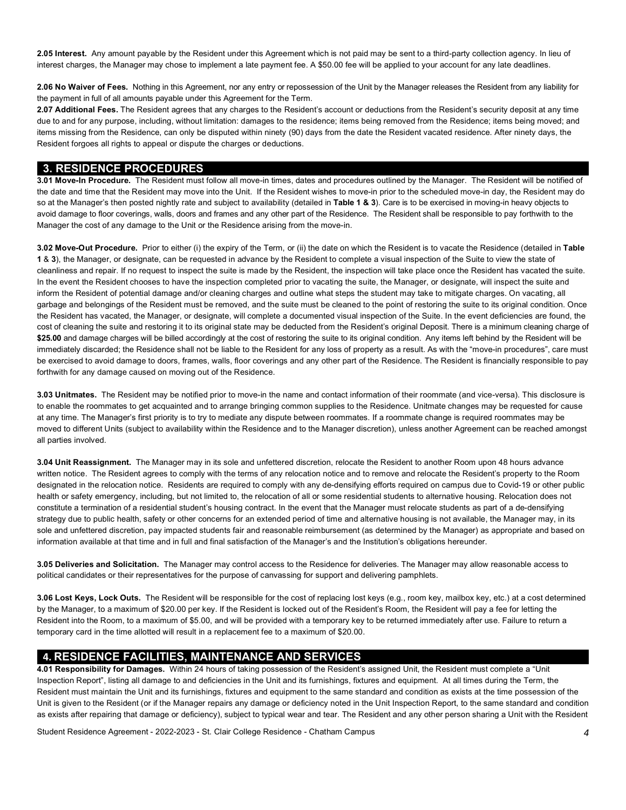**2.05 Interest.** Any amount payable by the Resident under this Agreement which is not paid may be sent to a third-party collection agency. In lieu of interest charges, the Manager may chose to implement a late payment fee. A \$50.00 fee will be applied to your account for any late deadlines.

 **2.06 No Waiver of Fees.** Nothing in this Agreement, nor any entry or repossession of the Unit by the Manager releases the Resident from any liability for the payment in full of all amounts payable under this Agreement for the Term.

 **2.07 Additional Fees.** The Resident agrees that any charges to the Resident's account or deductions from the Resident's security deposit at any time due to and for any purpose, including, without limitation: damages to the residence; items being removed from the Residence; items being moved; and items missing from the Residence, can only be disputed within ninety (90) days from the date the Resident vacated residence. After ninety days, the Resident forgoes all rights to appeal or dispute the charges or deductions.

#### **3. RESIDENCE PROCEDURES**

 **3.01 Move-In Procedure.** The Resident must follow all move-in times, dates and procedures outlined by the Manager. The Resident will be notified of the date and time that the Resident may move into the Unit. If the Resident wishes to move-in prior to the scheduled move-in day, the Resident may do so at the Manager's then posted nightly rate and subject to availability (detailed in **Table 1 & 3**). Care is to be exercised in moving-in heavy objects to avoid damage to floor coverings, walls, doors and frames and any other part of the Residence. The Resident shall be responsible to pay forthwith to the Manager the cost of any damage to the Unit or the Residence arising from the move-in.

 **3.02 Move-Out Procedure.** Prior to either (i) the expiry of the Term, or (ii) the date on which the Resident is to vacate the Residence (detailed in **Table 1** & **3**), the Manager, or designate, can be requested in advance by the Resident to complete a visual inspection of the Suite to view the state of cleanliness and repair. If no request to inspect the suite is made by the Resident, the inspection will take place once the Resident has vacated the suite. In the event the Resident chooses to have the inspection completed prior to vacating the suite, the Manager, or designate, will inspect the suite and inform the Resident of potential damage and/or cleaning charges and outline what steps the student may take to mitigate charges. On vacating, all garbage and belongings of the Resident must be removed, and the suite must be cleaned to the point of restoring the suite to its original condition. Once the Resident has vacated, the Manager, or designate, will complete a documented visual inspection of the Suite. In the event deficiencies are found, the cost of cleaning the suite and restoring it to its original state may be deducted from the Resident's original Deposit. There is a minimum cleaning charge of \$25.00 and damage charges will be billed accordingly at the cost of restoring the suite to its original condition. Any items left behind by the Resident will be immediately discarded; the Residence shall not be liable to the Resident for any loss of property as a result. As with the "move-in procedures", care must be exercised to avoid damage to doors, frames, walls, floor coverings and any other part of the Residence. The Resident is financially responsible to pay forthwith for any damage caused on moving out of the Residence.

 **3.03 Unitmates.** The Resident may be notified prior to move-in the name and contact information of their roommate (and vice-versa). This disclosure is to enable the roommates to get acquainted and to arrange bringing common supplies to the Residence. Unitmate changes may be requested for cause at any time. The Manager's first priority is to try to mediate any dispute between roommates. If a roommate change is required roommates may be moved to different Units (subject to availability within the Residence and to the Manager discretion), unless another Agreement can be reached amongst all parties involved.

 **3.04 Unit Reassignment.** The Manager may in its sole and unfettered discretion, relocate the Resident to another Room upon 48 hours advance written notice. The Resident agrees to comply with the terms of any relocation notice and to remove and relocate the Resident's property to the Room designated in the relocation notice. Residents are required to comply with any de-densifying efforts required on campus due to Covid-19 or other public health or safety emergency, including, but not limited to, the relocation of all or some residential students to alternative housing. Relocation does not constitute a termination of a residential student's housing contract. In the event that the Manager must relocate students as part of a de-densifying strategy due to public health, safety or other concerns for an extended period of time and alternative housing is not available, the Manager may, in its sole and unfettered discretion, pay impacted students fair and reasonable reimbursement (as determined by the Manager) as appropriate and based on information available at that time and in full and final satisfaction of the Manager's and the Institution's obligations hereunder.

 **3.05 Deliveries and Solicitation.** The Manager may control access to the Residence for deliveries. The Manager may allow reasonable access to political candidates or their representatives for the purpose of canvassing for support and delivering pamphlets.

 **3.06 Lost Keys, Lock Outs.** The Resident will be responsible for the cost of replacing lost keys (e.g., room key, mailbox key, etc.) at a cost determined by the Manager, to a maximum of \$20.00 per key. If the Resident is locked out of the Resident's Room, the Resident will pay a fee for letting the Resident into the Room, to a maximum of \$5.00, and will be provided with a temporary key to be returned immediately after use. Failure to return a temporary card in the time allotted will result in a replacement fee to a maximum of \$20.00.

# **4. RESIDENCE FACILITIES, MAINTENANCE AND SERVICES**

 Inspection Report", listing all damage to and deficiencies in the Unit and its furnishings, fixtures and equipment. At all times during the Term, the Resident must maintain the Unit and its furnishings, fixtures and equipment to the same standard and condition as exists at the time possession of the Unit is given to the Resident (or if the Manager repairs any damage or deficiency noted in the Unit Inspection Report, to the same standard and condition as exists after repairing that damage or deficiency), subject to typical wear and tear. The Resident and any other person sharing a Unit with the Resident **4.01 Responsibility for Damages.** Within 24 hours of taking possession of the Resident's assigned Unit, the Resident must complete a "Unit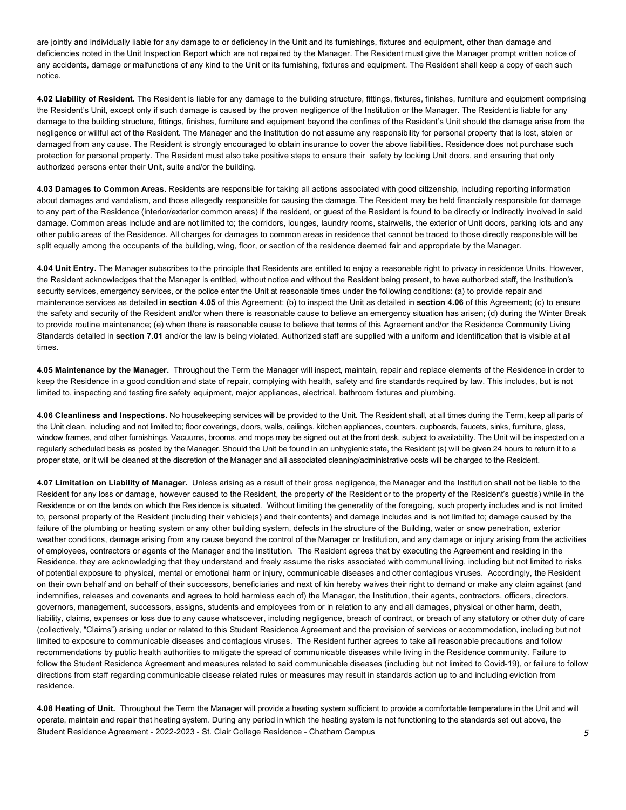are jointly and individually liable for any damage to or deficiency in the Unit and its furnishings, fixtures and equipment, other than damage and deficiencies noted in the Unit Inspection Report which are not repaired by the Manager. The Resident must give the Manager prompt written notice of any accidents, damage or malfunctions of any kind to the Unit or its furnishing, fixtures and equipment. The Resident shall keep a copy of each such notice.

 **4.02 Liability of Resident.** The Resident is liable for any damage to the building structure, fittings, fixtures, finishes, furniture and equipment comprising the Resident's Unit, except only if such damage is caused by the proven negligence of the Institution or the Manager. The Resident is liable for any damage to the building structure, fittings, finishes, furniture and equipment beyond the confines of the Resident's Unit should the damage arise from the negligence or willful act of the Resident. The Manager and the Institution do not assume any responsibility for personal property that is lost, stolen or damaged from any cause. The Resident is strongly encouraged to obtain insurance to cover the above liabilities. Residence does not purchase such protection for personal property. The Resident must also take positive steps to ensure their safety by locking Unit doors, and ensuring that only authorized persons enter their Unit, suite and/or the building.

 **4.03 Damages to Common Areas.** Residents are responsible for taking all actions associated with good citizenship, including reporting information about damages and vandalism, and those allegedly responsible for causing the damage. The Resident may be held financially responsible for damage to any part of the Residence (interior/exterior common areas) if the resident, or guest of the Resident is found to be directly or indirectly involved in said damage. Common areas include and are not limited to; the corridors, lounges, laundry rooms, stairwells, the exterior of Unit doors, parking lots and any other public areas of the Residence. All charges for damages to common areas in residence that cannot be traced to those directly responsible will be split equally among the occupants of the building, wing, floor, or section of the residence deemed fair and appropriate by the Manager.

 **4.04 Unit Entry.** The Manager subscribes to the principle that Residents are entitled to enjoy a reasonable right to privacy in residence Units. However, the Resident acknowledges that the Manager is entitled, without notice and without the Resident being present, to have authorized staff, the Institution's security services, emergency services, or the police enter the Unit at reasonable times under the following conditions: (a) to provide repair and maintenance services as detailed in **section 4.05** of this Agreement; (b) to inspect the Unit as detailed in **section 4.06** of this Agreement; (c) to ensure the safety and security of the Resident and/or when there is reasonable cause to believe an emergency situation has arisen; (d) during the Winter Break to provide routine maintenance; (e) when there is reasonable cause to believe that terms of this Agreement and/or the Residence Community Living Standards detailed in **section 7.01** and/or the law is being violated. Authorized staff are supplied with a uniform and identification that is visible at all times.

 **4.05 Maintenance by the Manager.** Throughout the Term the Manager will inspect, maintain, repair and replace elements of the Residence in order to keep the Residence in a good condition and state of repair, complying with health, safety and fire standards required by law. This includes, but is not limited to, inspecting and testing fire safety equipment, major appliances, electrical, bathroom fixtures and plumbing.

 **4.06 Cleanliness and Inspections.** No housekeeping services will be provided to the Unit. The Resident shall, at all times during the Term, keep all parts of the Unit clean, including and not limited to; floor coverings, doors, walls, ceilings, kitchen appliances, counters, cupboards, faucets, sinks, furniture, glass, window frames, and other furnishings. Vacuums, brooms, and mops may be signed out at the front desk, subject to availability. The Unit will be inspected on a regularly scheduled basis as posted by the Manager. Should the Unit be found in an unhygienic state, the Resident (s) will be given 24 hours to return it to a proper state, or it will be cleaned at the discretion of the Manager and all associated cleaning/administrative costs will be charged to the Resident.

 **4.07 Limitation on Liability of Manager.** Unless arising as a result of their gross negligence, the Manager and the Institution shall not be liable to the Resident for any loss or damage, however caused to the Resident, the property of the Resident or to the property of the Resident's guest(s) while in the Residence or on the lands on which the Residence is situated. Without limiting the generality of the foregoing, such property includes and is not limited to, personal property of the Resident (including their vehicle(s) and their contents) and damage includes and is not limited to; damage caused by the failure of the plumbing or heating system or any other building system, defects in the structure of the Building, water or snow penetration, exterior weather conditions, damage arising from any cause beyond the control of the Manager or Institution, and any damage or injury arising from the activities of employees, contractors or agents of the Manager and the Institution. The Resident agrees that by executing the Agreement and residing in the Residence, they are acknowledging that they understand and freely assume the risks associated with communal living, including but not limited to risks of potential exposure to physical, mental or emotional harm or injury, communicable diseases and other contagious viruses. Accordingly, the Resident on their own behalf and on behalf of their successors, beneficiaries and next of kin hereby waives their right to demand or make any claim against (and indemnifies, releases and covenants and agrees to hold harmless each of) the Manager, the Institution, their agents, contractors, officers, directors, governors, management, successors, assigns, students and employees from or in relation to any and all damages, physical or other harm, death, liability, claims, expenses or loss due to any cause whatsoever, including negligence, breach of contract, or breach of any statutory or other duty of care (collectively, "Claims") arising under or related to this Student Residence Agreement and the provision of services or accommodation, including but not limited to exposure to communicable diseases and contagious viruses. The Resident further agrees to take all reasonable precautions and follow recommendations by public health authorities to mitigate the spread of communicable diseases while living in the Residence community. Failure to follow the Student Residence Agreement and measures related to said communicable diseases (including but not limited to Covid-19), or failure to follow directions from staff regarding communicable disease related rules or measures may result in standards action up to and including eviction from residence.

 Student Residence Agreement - 2022-2023 - St. Clair College Residence - Chatham Campus *5*  **4.08 Heating of Unit.** Throughout the Term the Manager will provide a heating system sufficient to provide a comfortable temperature in the Unit and will operate, maintain and repair that heating system. During any period in which the heating system is not functioning to the standards set out above, the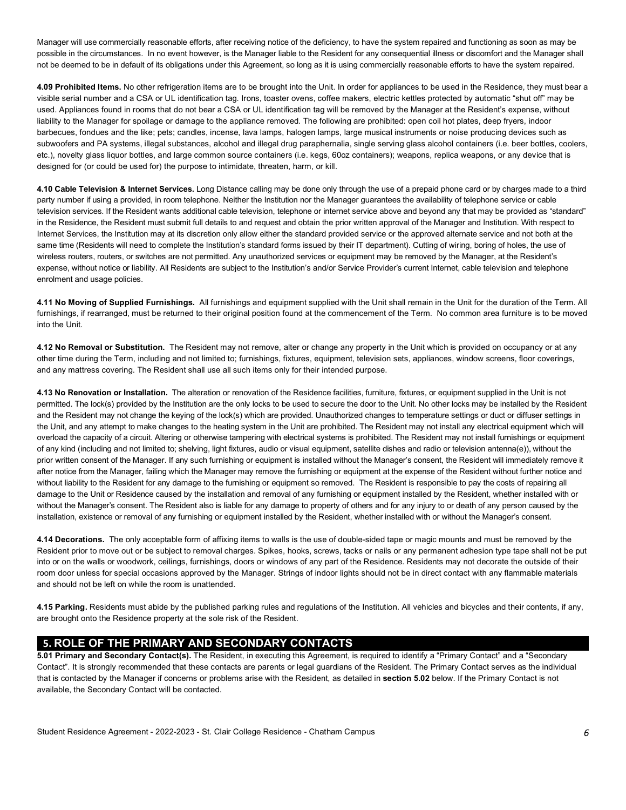Manager will use commercially reasonable efforts, after receiving notice of the deficiency, to have the system repaired and functioning as soon as may be possible in the circumstances. In no event however, is the Manager liable to the Resident for any consequential illness or discomfort and the Manager shall not be deemed to be in default of its obligations under this Agreement, so long as it is using commercially reasonable efforts to have the system repaired.

 **4.09 Prohibited Items.** No other refrigeration items are to be brought into the Unit. In order for appliances to be used in the Residence, they must bear a visible serial number and a CSA or UL identification tag. Irons, toaster ovens, coffee makers, electric kettles protected by automatic "shut off" may be used. Appliances found in rooms that do not bear a CSA or UL identification tag will be removed by the Manager at the Resident's expense, without liability to the Manager for spoilage or damage to the appliance removed. The following are prohibited: open coil hot plates, deep fryers, indoor barbecues, fondues and the like; pets; candles, incense, lava lamps, halogen lamps, large musical instruments or noise producing devices such as subwoofers and PA systems, illegal substances, alcohol and illegal drug paraphernalia, single serving glass alcohol containers (i.e. beer bottles, coolers, etc.), novelty glass liquor bottles, and large common source containers (i.e. kegs, 60oz containers); weapons, replica weapons, or any device that is designed for (or could be used for) the purpose to intimidate, threaten, harm, or kill.

 **4.10 Cable Television & Internet Services.** Long Distance calling may be done only through the use of a prepaid phone card or by charges made to a third party number if using a provided, in room telephone. Neither the Institution nor the Manager guarantees the availability of telephone service or cable in the Residence, the Resident must submit full details to and request and obtain the prior written approval of the Manager and Institution. With respect to Internet Services, the Institution may at its discretion only allow either the standard provided service or the approved alternate service and not both at the same time (Residents will need to complete the Institution's standard forms issued by their IT department). Cutting of wiring, boring of holes, the use of wireless routers, routers, or switches are not permitted. Any unauthorized services or equipment may be removed by the Manager, at the Resident's expense, without notice or liability. All Residents are subject to the Institution's and/or Service Provider's current Internet, cable television and telephone television services. If the Resident wants additional cable television, telephone or internet service above and beyond any that may be provided as "standard" enrolment and usage policies.

 **4.11 No Moving of Supplied Furnishings.** All furnishings and equipment supplied with the Unit shall remain in the Unit for the duration of the Term. All furnishings, if rearranged, must be returned to their original position found at the commencement of the Term. No common area furniture is to be moved into the Unit.

 **4.12 No Removal or Substitution.** The Resident may not remove, alter or change any property in the Unit which is provided on occupancy or at any other time during the Term, including and not limited to; furnishings, fixtures, equipment, television sets, appliances, window screens, floor coverings, and any mattress covering. The Resident shall use all such items only for their intended purpose.

 **4.13 No Renovation or Installation.** The alteration or renovation of the Residence facilities, furniture, fixtures, or equipment supplied in the Unit is not permitted. The lock(s) provided by the Institution are the only locks to be used to secure the door to the Unit. No other locks may be installed by the Resident and the Resident may not change the keying of the lock(s) which are provided. Unauthorized changes to temperature settings or duct or diffuser settings in the Unit, and any attempt to make changes to the heating system in the Unit are prohibited. The Resident may not install any electrical equipment which will overload the capacity of a circuit. Altering or otherwise tampering with electrical systems is prohibited. The Resident may not install furnishings or equipment of any kind (including and not limited to; shelving, light fixtures, audio or visual equipment, satellite dishes and radio or television antenna(e)), without the prior written consent of the Manager. If any such furnishing or equipment is installed without the Manager's consent, the Resident will immediately remove it after notice from the Manager, failing which the Manager may remove the furnishing or equipment at the expense of the Resident without further notice and without liability to the Resident for any damage to the furnishing or equipment so removed. The Resident is responsible to pay the costs of repairing all damage to the Unit or Residence caused by the installation and removal of any furnishing or equipment installed by the Resident, whether installed with or without the Manager's consent. The Resident also is liable for any damage to property of others and for any injury to or death of any person caused by the installation, existence or removal of any furnishing or equipment installed by the Resident, whether installed with or without the Manager's consent.

 **4.14 Decorations.** The only acceptable form of affixing items to walls is the use of double-sided tape or magic mounts and must be removed by the Resident prior to move out or be subject to removal charges. Spikes, hooks, screws, tacks or nails or any permanent adhesion type tape shall not be put into or on the walls or woodwork, ceilings, furnishings, doors or windows of any part of the Residence. Residents may not decorate the outside of their room door unless for special occasions approved by the Manager. Strings of indoor lights should not be in direct contact with any flammable materials and should not be left on while the room is unattended.

 **4.15 Parking.** Residents must abide by the published parking rules and regulations of the Institution. All vehicles and bicycles and their contents, if any, are brought onto the Residence property at the sole risk of the Resident.

# **5. ROLE OF THE PRIMARY AND SECONDARY CONTACTS**

 **5.01 Primary and Secondary Contact(s).** The Resident, in executing this Agreement, is required to identify a "Primary Contact" and a "Secondary Contact". It is strongly recommended that these contacts are parents or legal guardians of the Resident. The Primary Contact serves as the individual that is contacted by the Manager if concerns or problems arise with the Resident, as detailed in **section 5.02** below. If the Primary Contact is not available, the Secondary Contact will be contacted.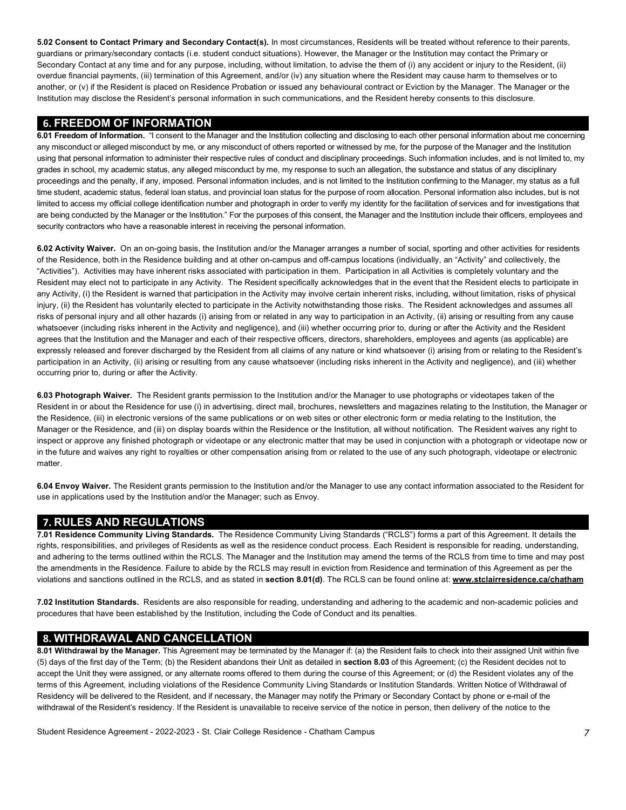**5.02 Consent to Contact Primary and Secondary Contact(s).** In most circumstances, Residents will be treated without reference to their parents, guardians or primary/secondary contacts (i.e. student conduct situations). However, the Manager or the Institution may contact the Primary or Secondary Contact at any time and for any purpose, including, without limitation, to advise the them of (i) any accident or injury to the Resident, (ii) overdue financial payments, (iii) termination of this Agreement, and/or (iv) any situation where the Resident may cause harm to themselves or to another, or (v) if the Resident is placed on Residence Probation or issued any behavioural contract or Eviction by the Manager. The Manager or the Institution may disclose the Resident's personal information in such communications, and the Resident hereby consents to this disclosure.

## **6. FREEDOM OF INFORMATION**

 **6.01 Freedom of Information.** "I consent to the Manager and the Institution collecting and disclosing to each other personal information about me concerning any misconduct or alleged misconduct by me, or any misconduct of others reported or witnessed by me, for the purpose of the Manager and the Institution using that personal information to administer their respective rules of conduct and disciplinary proceedings. Such information includes, and is not limited to, my grades in school, my academic status, any alleged misconduct by me, my response to such an allegation, the substance and status of any disciplinary proceedings and the penalty, if any, imposed. Personal information includes, and is not limited to the Institution confirming to the Manager, my status as a full time student, academic status, federal loan status, and provincial loan status for the purpose of room allocation. Personal information also includes, but is not limited to access my official college identification number and photograph in order to verify my identity for the facilitation of services and for investigations that are being conducted by the Manager or the Institution." For the purposes of this consent, the Manager and the Institution include their officers, employees and security contractors who have a reasonable interest in receiving the personal information.

 **6.02 Activity Waiver.** On an on-going basis, the Institution and/or the Manager arranges a number of social, sporting and other activities for residents of the Residence, both in the Residence building and at other on-campus and off-campus locations (individually, an "Activity" and collectively, the "Activities"). Activities may have inherent risks associated with participation in them. Participation in all Activities is completely voluntary and the Resident may elect not to participate in any Activity. The Resident specifically acknowledges that in the event that the Resident elects to participate in any Activity, (i) the Resident is warned that participation in the Activity may involve certain inherent risks, including, without limitation, risks of physical injury, (ii) the Resident has voluntarily elected to participate in the Activity notwithstanding those risks. The Resident acknowledges and assumes all risks of personal injury and all other hazards (i) arising from or related in any way to participation in an Activity, (ii) arising or resulting from any cause whatsoever (including risks inherent in the Activity and negligence), and (iii) whether occurring prior to, during or after the Activity and the Resident agrees that the Institution and the Manager and each of their respective officers, directors, shareholders, employees and agents (as applicable) are expressly released and forever discharged by the Resident from all claims of any nature or kind whatsoever (i) arising from or relating to the Resident's participation in an Activity, (ii) arising or resulting from any cause whatsoever (including risks inherent in the Activity and negligence), and (iii) whether occurring prior to, during or after the Activity.

 **6.03 Photograph Waiver.** The Resident grants permission to the Institution and/or the Manager to use photographs or videotapes taken of the Resident in or about the Residence for use (i) in advertising, direct mail, brochures, newsletters and magazines relating to the Institution, the Manager or the Residence, (iii) in electronic versions of the same publications or on web sites or other electronic form or media relating to the Institution, the Manager or the Residence, and (iii) on display boards within the Residence or the Institution, all without notification. The Resident waives any right to inspect or approve any finished photograph or videotape or any electronic matter that may be used in conjunction with a photograph or videotape now or in the future and waives any right to royalties or other compensation arising from or related to the use of any such photograph, videotape or electronic matter.

 **6.04 Envoy Waiver.** The Resident grants permission to the Institution and/or the Manager to use any contact information associated to the Resident for use in applications used by the Institution and/or the Manager; such as Envoy.

## **7. RULES AND REGULATIONS**

 **7.01 Residence Community Living Standards.** The Residence Community Living Standards ("RCLS") forms a part of this Agreement. It details the rights, responsibilities, and privileges of Residents as well as the residence conduct process. Each Resident is responsible for reading, understanding, and adhering to the terms outlined within the RCLS. The Manager and the Institution may amend the terms of the RCLS from time to time and may post the amendments in the Residence. Failure to abide by the RCLS may result in eviction from Residence and termination of this Agreement as per the violations and sanctions outlined in the RCLS, and as stated in **section 8.01(d)**. The RCLS can be found online at: **<www.stclairresidence.ca/chatham>** 

 **7.02 Institution Standards.** Residents are also responsible for reading, understanding and adhering to the academic and non-academic policies and procedures that have been established by the Institution, including the Code of Conduct and its penalties.

## **8. WITHDRAWAL AND CANCELLATION**

 (5) days of the first day of the Term; (b) the Resident abandons their Unit as detailed in **section 8.03** of this Agreement; (c) the Resident decides not to accept the Unit they were assigned, or any alternate rooms offered to them during the course of this Agreement; or (d) the Resident violates any of the terms of this Agreement, including violations of the Residence Community Living Standards or Institution Standards. Written Notice of Withdrawal of Residency will be delivered to the Resident, and if necessary, the Manager may notify the Primary or Secondary Contact by phone or e-mail of the withdrawal of the Resident's residency. If the Resident is unavailable to receive service of the notice in person, then delivery of the notice to the **8.01 Withdrawal by the Manager.** This Agreement may be terminated by the Manager if: (a) the Resident fails to check into their assigned Unit within five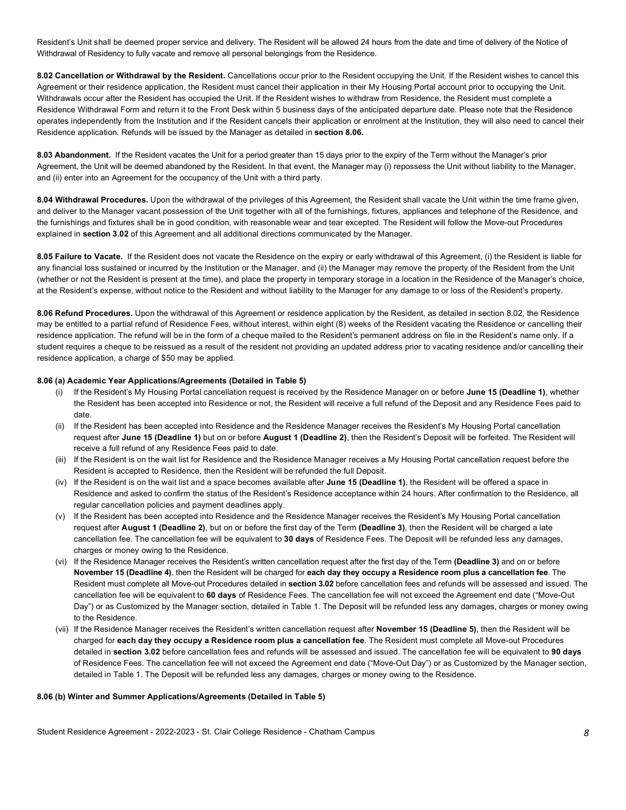Resident's Unit shall be deemed proper service and delivery. The Resident will be allowed 24 hours from the date and time of delivery of the Notice of Withdrawal of Residency to fully vacate and remove all personal belongings from the Residence.

 **8.02 Cancellation or Withdrawal by the Resident.** Cancellations occur prior to the Resident occupying the Unit. If the Resident wishes to cancel this Agreement or their residence application, the Resident must cancel their application in their My Housing Portal account prior to occupying the Unit. Withdrawals occur after the Resident has occupied the Unit. If the Resident wishes to withdraw from Residence, the Resident must complete a Residence Withdrawal Form and return it to the Front Desk within 5 business days of the anticipated departure date. Please note that the Residence operates independently from the Institution and if the Resident cancels their application or enrolment at the Institution, they will also need to cancel their Residence application. Refunds will be issued by the Manager as detailed in **section 8.06.** 

Agreement, the Unit will be deemed abandoned by the Resident. In that event, the Manager may (i) repossess the Unit without liability to the Manager, and (ii) enter into an Agreement for the occupancy of the Unit with a third party. **8.03 Abandonment.** If the Resident vacates the Unit for a period greater than 15 days prior to the expiry of the Term without the Manager's prior

 **8.04 Withdrawal Procedures.** Upon the withdrawal of the privileges of this Agreement, the Resident shall vacate the Unit within the time frame given, and deliver to the Manager vacant possession of the Unit together with all of the furnishings, fixtures, appliances and telephone of the Residence, and the furnishings and fixtures shall be in good condition, with reasonable wear and tear excepted. The Resident will follow the Move-out Procedures explained in **section 3.02** of this Agreement and all additional directions communicated by the Manager.

 **8.05 Failure to Vacate.** If the Resident does not vacate the Residence on the expiry or early withdrawal of this Agreement, (i) the Resident is liable for any financial loss sustained or incurred by the Institution or the Manager, and (ii) the Manager may remove the property of the Resident from the Unit (whether or not the Resident is present at the time), and place the property in temporary storage in a location in the Residence of the Manager's choice, at the Resident's expense, without notice to the Resident and without liability to the Manager for any damage to or loss of the Resident's property.

 **8.06 Refund Procedures.** Upon the withdrawal of this Agreement or residence application by the Resident, as detailed in section 8.02, the Residence may be entitled to a partial refund of Residence Fees, without interest, within eight (8) weeks of the Resident vacating the Residence or cancelling their residence application. The refund will be in the form of a cheque mailed to the Resident's permanent address on file in the Resident's name only. If a student requires a cheque to be reissued as a result of the resident not providing an updated address prior to vacating residence and/or cancelling their residence application, a charge of \$50 may be applied.

#### **8.06 (a) Academic Year Applications/Agreements (Detailed in Table 5)**

- (i) If the Resident's My Housing Portal cancellation request is received by the Residence Manager on or before **June 15 (Deadline 1)**, whether the Resident has been accepted into Residence or not, the Resident will receive a full refund of the Deposit and any Residence Fees paid to date.
- request after **June 15 (Deadline 1)** but on or before **August 1 (Deadline 2)**, then the Resident's Deposit will be forfeited. The Resident will receive a full refund of any Residence Fees paid to date. (ii) If the Resident has been accepted into Residence and the Residence Manager receives the Resident's My Housing Portal cancellation
- (iii) If the Resident is on the wait list for Residence and the Residence Manager receives a My Housing Portal cancellation request before the Resident is accepted to Residence, then the Resident will be refunded the full Deposit.
- (iv) If the Resident is on the wait list and a space becomes available after **June 15 (Deadline 1)**, the Resident will be offered a space in Residence and asked to confirm the status of the Resident's Residence acceptance within 24 hours. After confirmation to the Residence, all regular cancellation policies and payment deadlines apply.
- (v) If the Resident has been accepted into Residence and the Residence Manager receives the Resident's My Housing Portal cancellation  request after **August 1 (Deadline 2)**, but on or before the first day of the Term **(Deadline 3)**, then the Resident will be charged a late cancellation fee. The cancellation fee will be equivalent to **30 days** of Residence Fees. The Deposit will be refunded less any damages, charges or money owing to the Residence.
- (vi) If the Residence Manager receives the Resident's written cancellation request after the first day of the Term **(Deadline 3)** and on or before  **November 15 (Deadline 4)**, then the Resident will be charged for **each day they occupy a Residence room plus a cancellation fee**. The Resident must complete all Move-out Procedures detailed in **section 3.02** before cancellation fees and refunds will be assessed and issued. The cancellation fee will be equivalent to **60 days** of Residence Fees. The cancellation fee will not exceed the Agreement end date ("Move-Out Day") or as Customized by the Manager section, detailed in Table 1. The Deposit will be refunded less any damages, charges or money owing to the Residence.
- (vii) If the Residence Manager receives the Resident's written cancellation request after **November 15 (Deadline 5)**, then the Resident will be charged for **each day they occupy a Residence room plus a cancellation fee**. The Resident must complete all Move-out Procedures detailed in **section 3.02** before cancellation fees and refunds will be assessed and issued. The cancellation fee will be equivalent to **90 days**  of Residence Fees. The cancellation fee will not exceed the Agreement end date ("Move-Out Day") or as Customized by the Manager section, detailed in Table 1. The Deposit will be refunded less any damages, charges or money owing to the Residence.

#### **8.06 (b) Winter and Summer Applications/Agreements (Detailed in Table 5)**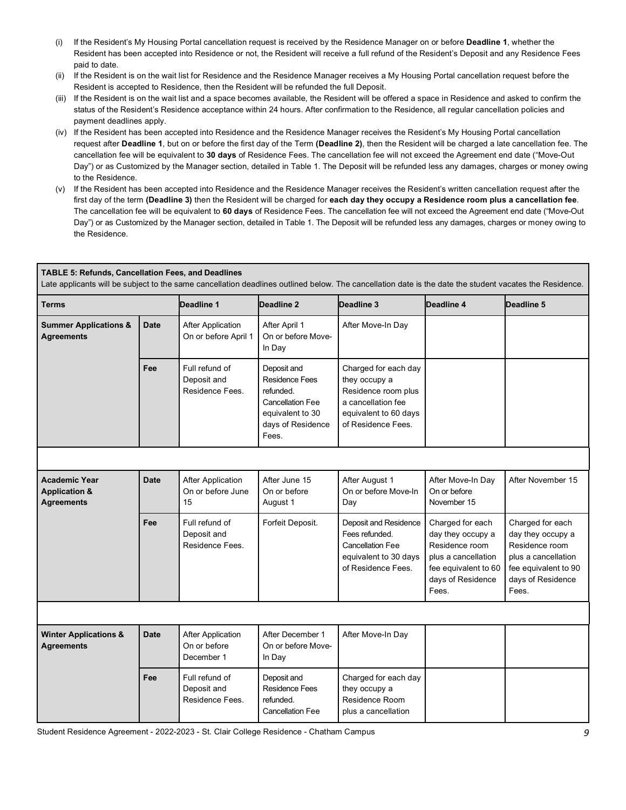- (i) If the Resident's My Housing Portal cancellation request is received by the Residence Manager on or before **Deadline 1**, whether the Resident has been accepted into Residence or not, the Resident will receive a full refund of the Resident's Deposit and any Residence Fees paid to date.
- (ii) If the Resident is on the wait list for Residence and the Residence Manager receives a My Housing Portal cancellation request before the Resident is accepted to Residence, then the Resident will be refunded the full Deposit.
- (iii) If the Resident is on the wait list and a space becomes available, the Resident will be offered a space in Residence and asked to confirm the status of the Resident's Residence acceptance within 24 hours. After confirmation to the Residence, all regular cancellation policies and payment deadlines apply.
- (iv) If the Resident has been accepted into Residence and the Residence Manager receives the Resident's My Housing Portal cancellation request after **Deadline 1**, but on or before the first day of the Term **(Deadline 2)**, then the Resident will be charged a late cancellation fee. The cancellation fee will be equivalent to **30 days** of Residence Fees. The cancellation fee will not exceed the Agreement end date ("Move-Out Day") or as Customized by the Manager section, detailed in Table 1. The Deposit will be refunded less any damages, charges or money owing to the Residence.
- (v) If the Resident has been accepted into Residence and the Residence Manager receives the Resident's written cancellation request after the The cancellation fee will be equivalent to **60 days** of Residence Fees. The cancellation fee will not exceed the Agreement end date ("Move-Out Day") or as Customized by the Manager section, detailed in Table 1. The Deposit will be refunded less any damages, charges or money owing to first day of the term **(Deadline 3)** then the Resident will be charged for **each day they occupy a Residence room plus a cancellation fee**. the Residence.

| <b>TABLE 5: Refunds, Cancellation Fees, and Deadlines</b><br>Late applicants will be subject to the same cancellation deadlines outlined below. The cancellation date is the date the student vacates the Residence. |             |                                                        |                                                                                                                                |                                                                                                                                   |                                                                                                                                      |                                                                                                                                      |
|----------------------------------------------------------------------------------------------------------------------------------------------------------------------------------------------------------------------|-------------|--------------------------------------------------------|--------------------------------------------------------------------------------------------------------------------------------|-----------------------------------------------------------------------------------------------------------------------------------|--------------------------------------------------------------------------------------------------------------------------------------|--------------------------------------------------------------------------------------------------------------------------------------|
| <b>Terms</b>                                                                                                                                                                                                         |             | Deadline 1                                             | Deadline 2                                                                                                                     | Deadline 3                                                                                                                        | Deadline 4                                                                                                                           | Deadline 5                                                                                                                           |
| <b>Summer Applications &amp;</b><br><b>Agreements</b>                                                                                                                                                                | <b>Date</b> | <b>After Application</b><br>On or before April 1       | After April 1<br>On or before Move-<br>In Day                                                                                  | After Move-In Day                                                                                                                 |                                                                                                                                      |                                                                                                                                      |
|                                                                                                                                                                                                                      | Fee         | Full refund of<br>Deposit and<br>Residence Fees.       | Deposit and<br><b>Residence Fees</b><br>refunded.<br><b>Cancellation Fee</b><br>equivalent to 30<br>days of Residence<br>Fees. | Charged for each day<br>they occupy a<br>Residence room plus<br>a cancellation fee<br>equivalent to 60 days<br>of Residence Fees. |                                                                                                                                      |                                                                                                                                      |
|                                                                                                                                                                                                                      |             |                                                        |                                                                                                                                |                                                                                                                                   |                                                                                                                                      |                                                                                                                                      |
| <b>Academic Year</b><br><b>Application &amp;</b><br><b>Agreements</b>                                                                                                                                                | <b>Date</b> | <b>After Application</b><br>On or before June<br>15    | After June 15<br>On or before<br>August 1                                                                                      | After August 1<br>On or before Move-In<br>Day                                                                                     | After Move-In Day<br>On or before<br>November 15                                                                                     | After November 15                                                                                                                    |
|                                                                                                                                                                                                                      | Fee         | Full refund of<br>Deposit and<br>Residence Fees.       | Forfeit Deposit.                                                                                                               | Deposit and Residence<br>Fees refunded.<br><b>Cancellation Fee</b><br>equivalent to 30 days<br>of Residence Fees.                 | Charged for each<br>day they occupy a<br>Residence room<br>plus a cancellation<br>fee equivalent to 60<br>days of Residence<br>Fees. | Charged for each<br>day they occupy a<br>Residence room<br>plus a cancellation<br>fee equivalent to 90<br>days of Residence<br>Fees. |
|                                                                                                                                                                                                                      |             |                                                        |                                                                                                                                |                                                                                                                                   |                                                                                                                                      |                                                                                                                                      |
| <b>Winter Applications &amp;</b><br><b>Agreements</b>                                                                                                                                                                | <b>Date</b> | <b>After Application</b><br>On or before<br>December 1 | After December 1<br>On or before Move-<br>In Day                                                                               | After Move-In Day                                                                                                                 |                                                                                                                                      |                                                                                                                                      |
|                                                                                                                                                                                                                      | Fee         | Full refund of<br>Deposit and<br>Residence Fees.       | Deposit and<br><b>Residence Fees</b><br>refunded.<br><b>Cancellation Fee</b>                                                   | Charged for each day<br>they occupy a<br>Residence Room<br>plus a cancellation                                                    |                                                                                                                                      |                                                                                                                                      |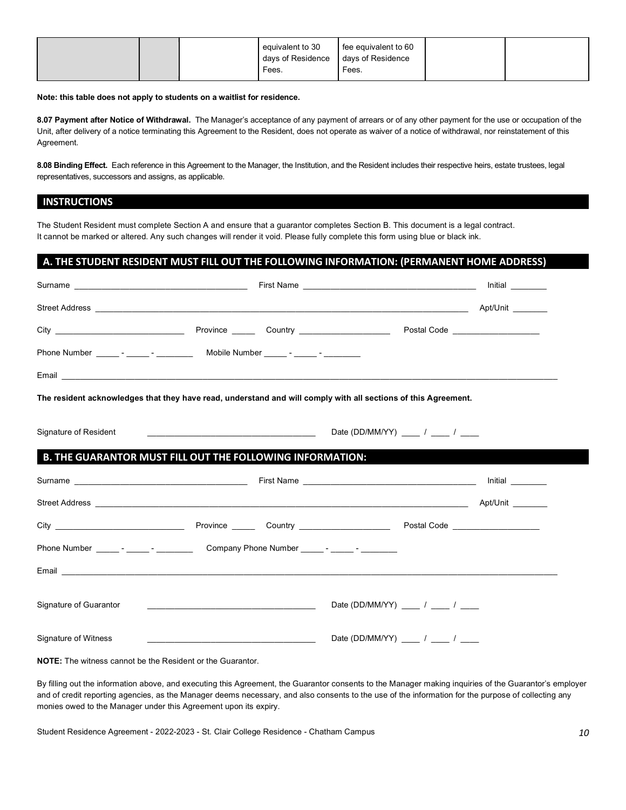|  | equivalent to 30<br>days of Residence<br>Fees. | fee equivalent to 60<br>days of Residence<br>Fees. |  |
|--|------------------------------------------------|----------------------------------------------------|--|
|  |                                                |                                                    |  |

#### **Note: this table does not apply to students on a waitlist for residence.**

 **8.07 Payment after Notice of Withdrawal.** The Manager's acceptance of any payment of arrears or of any other payment for the use or occupation of the Unit, after delivery of a notice terminating this Agreement to the Resident, does not operate as waiver of a notice of withdrawal, nor reinstatement of this Agreement.

 **8.08 Binding Effect.** Each reference in this Agreement to the Manager, the Institution, and the Resident includes their respective heirs, estate trustees, legal representatives, successors and assigns, as applicable.

#### **INSTRUCTIONS**

 The Student Resident must complete Section A and ensure that a guarantor completes Section B. This document is a legal contract. It cannot be marked or altered. Any such changes will render it void. Please fully complete this form using blue or black ink.

#### **A. THE STUDENT RESIDENT MUST FILL OUT THE FOLLOWING INFORMATION: (PERMANENT HOME ADDRESS)**

|                              |                                                                                                                           | Initial $\_\_$                                                                                                 |  |
|------------------------------|---------------------------------------------------------------------------------------------------------------------------|----------------------------------------------------------------------------------------------------------------|--|
|                              |                                                                                                                           |                                                                                                                |  |
|                              |                                                                                                                           |                                                                                                                |  |
|                              |                                                                                                                           |                                                                                                                |  |
|                              |                                                                                                                           |                                                                                                                |  |
|                              |                                                                                                                           | The resident acknowledges that they have read, understand and will comply with all sections of this Agreement. |  |
| <b>Signature of Resident</b> |                                                                                                                           | Date (DD/MM/YY) ____ / ___ / ____                                                                              |  |
|                              | B. THE GUARANTOR MUST FILL OUT THE FOLLOWING INFORMATION:                                                                 |                                                                                                                |  |
|                              |                                                                                                                           |                                                                                                                |  |
|                              |                                                                                                                           |                                                                                                                |  |
|                              |                                                                                                                           |                                                                                                                |  |
|                              | Phone Number ______- - ______- Company Phone Number ______- - _____- - _______-                                           |                                                                                                                |  |
|                              |                                                                                                                           |                                                                                                                |  |
| Signature of Guarantor       |                                                                                                                           | Date (DD/MM/YY) ____ / ___ / ___                                                                               |  |
| Signature of Witness         | <u> 1990 - Jan James James Jan James James James James James James James James James James James James James James Ja</u> | Date (DD/MM/YY) $\qquad$ / $\qquad$ /                                                                          |  |
|                              |                                                                                                                           |                                                                                                                |  |

**NOTE:** The witness cannot be the Resident or the Guarantor.

 By filling out the information above, and executing this Agreement, the Guarantor consents to the Manager making inquiries of the Guarantor's employer and of credit reporting agencies, as the Manager deems necessary, and also consents to the use of the information for the purpose of collecting any monies owed to the Manager under this Agreement upon its expiry.